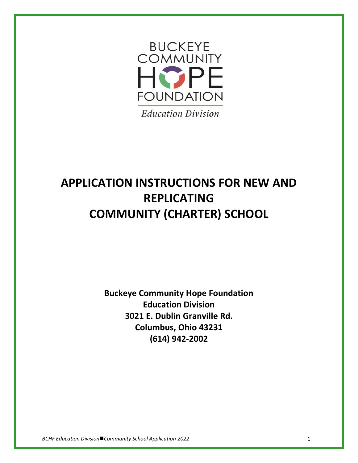

# **APPLICATION INSTRUCTIONS FOR NEW AND REPLICATING COMMUNITY (CHARTER) SCHOOL**

**Buckeye Community Hope Foundation Education Division 3021 E. Dublin Granville Rd. Columbus, Ohio 43231 (614) 942-2002**

*BCHF Education Division*◼*Community School Application 2022* 1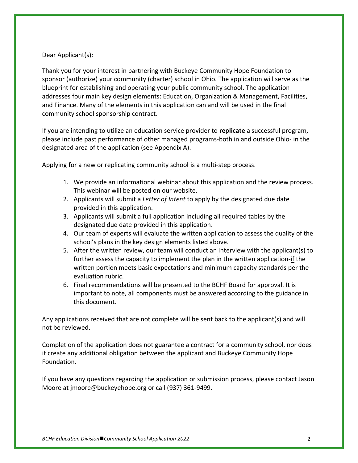### Dear Applicant(s):

Thank you for your interest in partnering with Buckeye Community Hope Foundation to sponsor (authorize) your community (charter) school in Ohio. The application will serve as the blueprint for establishing and operating your public community school. The application addresses four main key design elements: Education, Organization & Management, Facilities, and Finance. Many of the elements in this application can and will be used in the final community school sponsorship contract.

If you are intending to utilize an education service provider to **replicate** a successful program, please include past performance of other managed programs-both in and outside Ohio- in the designated area of the application (see Appendix A).

Applying for a new or replicating community school is a multi-step process.

- 1. We provide an informational webinar about this application and the review process. This webinar will be posted on our website.
- 2. Applicants will submit a *Letter of Intent* to apply by the designated due date provided in this application.
- 3. Applicants will submit a full application including all required tables by the designated due date provided in this application.
- 4. Our team of experts will evaluate the written application to assess the quality of the school's plans in the key design elements listed above.
- 5. After the written review, our team will conduct an interview with the applicant(s) to further assess the capacity to implement the plan in the written application-if the written portion meets basic expectations and minimum capacity standards per the evaluation rubric.
- 6. Final recommendations will be presented to the BCHF Board for approval. It is important to note, all components must be answered according to the guidance in this document.

Any applications received that are not complete will be sent back to the applicant(s) and will not be reviewed.

Completion of the application does not guarantee a contract for a community school, nor does it create any additional obligation between the applicant and Buckeye Community Hope Foundation.

If you have any questions regarding the application or submission process, please contact Jason Moore at jmoore@buckeyehope.org or call (937) 361-9499.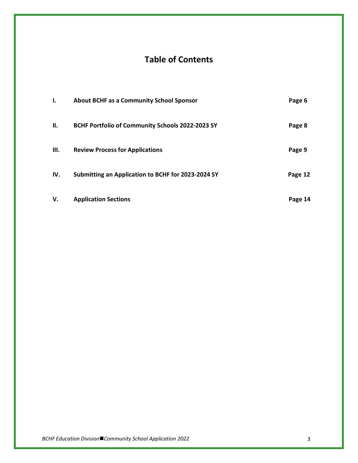# **Table of Contents**

| I.   | <b>About BCHF as a Community School Sponsor</b>    | Page 6  |
|------|----------------------------------------------------|---------|
| Н.   | BCHF Portfolio of Community Schools 2022-2023 SY   | Page 8  |
| III. | <b>Review Process for Applications</b>             | Page 9  |
| IV.  | Submitting an Application to BCHF for 2023-2024 SY | Page 12 |
| V.   | <b>Application Sections</b>                        | Page 14 |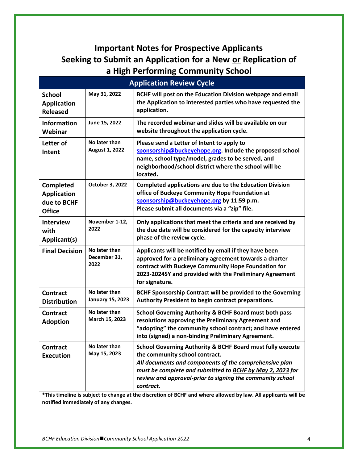# **Important Notes for Prospective Applicants Seeking to Submit an Application for a New or Replication of a High Performing Community School**

| <b>Application Review Cycle</b>                                 |                                          |                                                                                                                                                                                                                                                                                               |  |  |
|-----------------------------------------------------------------|------------------------------------------|-----------------------------------------------------------------------------------------------------------------------------------------------------------------------------------------------------------------------------------------------------------------------------------------------|--|--|
| <b>School</b><br><b>Application</b><br><b>Released</b>          | May 31, 2022                             | BCHF will post on the Education Division webpage and email<br>the Application to interested parties who have requested the<br>application.                                                                                                                                                    |  |  |
| <b>Information</b><br>Webinar                                   | June 15, 2022                            | The recorded webinar and slides will be available on our<br>website throughout the application cycle.                                                                                                                                                                                         |  |  |
| Letter of<br>Intent                                             | No later than<br>August 1, 2022          | Please send a Letter of Intent to apply to<br>sponsorship@buckeyehope.org. Include the proposed school<br>name, school type/model, grades to be served, and<br>neighborhood/school district where the school will be<br>located.                                                              |  |  |
| Completed<br><b>Application</b><br>due to BCHF<br><b>Office</b> | October 3, 2022                          | <b>Completed applications are due to the Education Division</b><br>office of Buckeye Community Hope Foundation at<br>sponsorship@buckeyehope.org by 11:59 p.m.<br>Please submit all documents via a "zip" file.                                                                               |  |  |
| <b>Interview</b><br>with<br>Applicant(s)                        | November 1-12,<br>2022                   | Only applications that meet the criteria and are received by<br>the due date will be considered for the capacity interview<br>phase of the review cycle.                                                                                                                                      |  |  |
| <b>Final Decision</b>                                           | No later than<br>December 31,<br>2022    | Applicants will be notified by email if they have been<br>approved for a preliminary agreement towards a charter<br>contract with Buckeye Community Hope Foundation for<br>2023-2024SY and provided with the Preliminary Agreement<br>for signature.                                          |  |  |
| <b>Contract</b><br><b>Distribution</b>                          | No later than<br><b>January 15, 2023</b> | BCHF Sponsorship Contract will be provided to the Governing<br>Authority President to begin contract preparations.                                                                                                                                                                            |  |  |
| <b>Contract</b><br><b>Adoption</b>                              | No later than<br>March 15, 2023          | <b>School Governing Authority &amp; BCHF Board must both pass</b><br>resolutions approving the Preliminary Agreement and<br>"adopting" the community school contract; and have entered<br>into (signed) a non-binding Preliminary Agreement.                                                  |  |  |
| <b>Contract</b><br><b>Execution</b>                             | No later than<br>May 15, 2023            | School Governing Authority & BCHF Board must fully execute<br>the community school contract.<br>All documents and components of the comprehensive plan<br>must be complete and submitted to BCHF by May 2, 2023 for<br>review and approval-prior to signing the community school<br>contract. |  |  |

**\*This timeline is subject to change at the discretion of BCHF and where allowed by law. All applicants will be notified immediately of any changes.**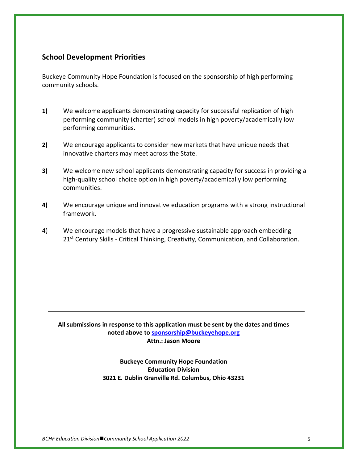### **School Development Priorities**

Buckeye Community Hope Foundation is focused on the sponsorship of high performing community schools.

- **1)** We welcome applicants demonstrating capacity for successful replication of high performing community (charter) school models in high poverty/academically low performing communities.
- **2)** We encourage applicants to consider new markets that have unique needs that innovative charters may meet across the State.
- **3)** We welcome new school applicants demonstrating capacity for success in providing a high-quality school choice option in high poverty/academically low performing communities.
- **4)** We encourage unique and innovative education programs with a strong instructional framework.
- 4) We encourage models that have a progressive sustainable approach embedding 21<sup>st</sup> Century Skills - Critical Thinking, Creativity, Communication, and Collaboration.

**All submissions in response to this application must be sent by the dates and times noted above to [sponsorship@buckeyehope.org](mailto:sponsorship@buckeyehope.org) Attn.: Jason Moore**

> **Buckeye Community Hope Foundation Education Division 3021 E. Dublin Granville Rd. Columbus, Ohio 43231**

*BCHF Education Division*◼*Community School Application 2022* 5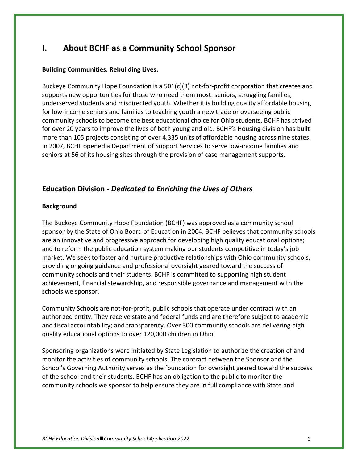# **I. About BCHF as a Community School Sponsor**

### **Building Communities. Rebuilding Lives.**

Buckeye Community Hope Foundation is a  $501(c)(3)$  not-for-profit corporation that creates and supports new opportunities for those who need them most: seniors, struggling families, underserved students and misdirected youth. Whether it is building quality affordable housing for low-income seniors and families to teaching youth a new trade or overseeing public community schools to become the best educational choice for Ohio students, BCHF has strived for over 20 years to improve the lives of both young and old. BCHF's Housing division has built more than 105 projects consisting of over 4,335 units of affordable housing across nine states. In 2007, BCHF opened a Department of Support Services to serve low-income families and seniors at 56 of its housing sites through the provision of case management supports.

### **Education Division -** *Dedicated to Enriching the Lives of Others*

### **Background**

The Buckeye Community Hope Foundation (BCHF) was approved as a community school sponsor by the State of Ohio Board of Education in 2004. BCHF believes that community schools are an innovative and progressive approach for developing high quality educational options; and to reform the public education system making our students competitive in today's job market. We seek to foster and nurture productive relationships with Ohio community schools, providing ongoing guidance and professional oversight geared toward the success of community schools and their students. BCHF is committed to supporting high student achievement, financial stewardship, and responsible governance and management with the schools we sponsor.

Community Schools are not-for-profit, public schools that operate under contract with an authorized entity. They receive state and federal funds and are therefore subject to academic and fiscal accountability; and transparency. Over 300 community schools are delivering high quality educational options to over 120,000 children in Ohio.

Sponsoring organizations were initiated by State Legislation to authorize the creation of and monitor the activities of community schools. The contract between the Sponsor and the School's Governing Authority serves as the foundation for oversight geared toward the success of the school and their students. BCHF has an obligation to the public to monitor the community schools we sponsor to help ensure they are in full compliance with State and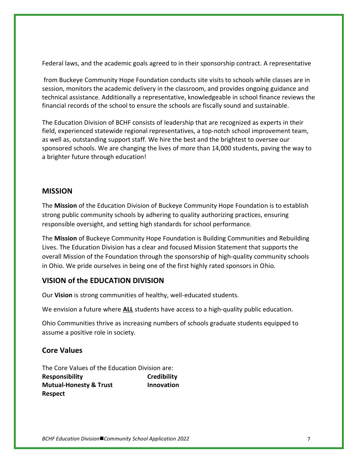Federal laws, and the academic goals agreed to in their sponsorship contract. A representative

from Buckeye Community Hope Foundation conducts site visits to schools while classes are in session, monitors the academic delivery in the classroom, and provides ongoing guidance and technical assistance. Additionally a representative, knowledgeable in school finance reviews the financial records of the school to ensure the schools are fiscally sound and sustainable.

The Education Division of BCHF consists of leadership that are recognized as experts in their field, experienced statewide regional representatives, a top-notch school improvement team, as well as, outstanding support staff. We hire the best and the brightest to oversee our sponsored schools. We are changing the lives of more than 14,000 students, paving the way to a brighter future through education!

### **MISSION**

The **Mission** of the Education Division of Buckeye Community Hope Foundation is to establish strong public community schools by adhering to quality authorizing practices, ensuring responsible oversight, and setting high standards for school performance.

The **Mission** of Buckeye Community Hope Foundation is Building Communities and Rebuilding Lives. The Education Division has a clear and focused Mission Statement that supports the overall Mission of the Foundation through the sponsorship of high-quality community schools in Ohio. We pride ourselves in being one of the first highly rated sponsors in Ohio.

# **VISION of the EDUCATION DIVISION**

Our **Vision** is strong communities of healthy, well-educated students.

We envision a future where **ALL** students have access to a high-quality public education.

Ohio Communities thrive as increasing numbers of schools graduate students equipped to assume a positive role in society.

# **Core Values**

The Core Values of the Education Division are: **Responsibility Credibility Mutual-Honesty & Trust Innovation Respect**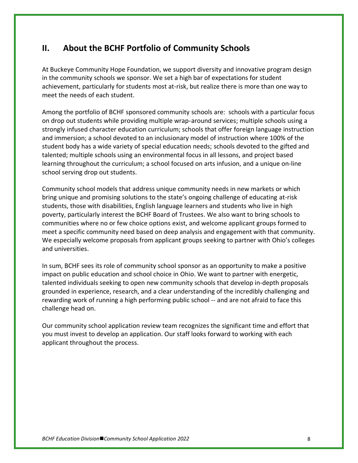# **II. About the BCHF Portfolio of Community Schools**

At Buckeye Community Hope Foundation, we support diversity and innovative program design in the community schools we sponsor. We set a high bar of expectations for student achievement, particularly for students most at-risk, but realize there is more than one way to meet the needs of each student.

Among the portfolio of BCHF sponsored community schools are: schools with a particular focus on drop out students while providing multiple wrap-around services; multiple schools using a strongly infused character education curriculum; schools that offer foreign language instruction and immersion; a school devoted to an inclusionary model of instruction where 100% of the student body has a wide variety of special education needs; schools devoted to the gifted and talented; multiple schools using an environmental focus in all lessons, and project based learning throughout the curriculum; a school focused on arts infusion, and a unique on-line school serving drop out students.

Community school models that address unique community needs in new markets or which bring unique and promising solutions to the state's ongoing challenge of educating at-risk students, those with disabilities, English language learners and students who live in high poverty, particularly interest the BCHF Board of Trustees. We also want to bring schools to communities where no or few choice options exist, and welcome applicant groups formed to meet a specific community need based on deep analysis and engagement with that community. We especially welcome proposals from applicant groups seeking to partner with Ohio's colleges and universities.

In sum, BCHF sees its role of community school sponsor as an opportunity to make a positive impact on public education and school choice in Ohio. We want to partner with energetic, talented individuals seeking to open new community schools that develop in-depth proposals grounded in experience, research, and a clear understanding of the incredibly challenging and rewarding work of running a high performing public school -- and are not afraid to face this challenge head on.

Our community school application review team recognizes the significant time and effort that you must invest to develop an application. Our staff looks forward to working with each applicant throughout the process.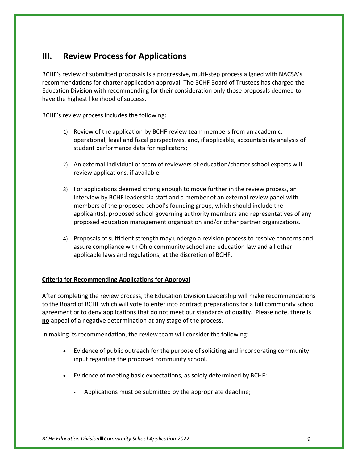# **III. Review Process for Applications**

BCHF's review of submitted proposals is a progressive, multi-step process aligned with NACSA's recommendations for charter application approval. The BCHF Board of Trustees has charged the Education Division with recommending for their consideration only those proposals deemed to have the highest likelihood of success.

BCHF's review process includes the following:

- 1) Review of the application by BCHF review team members from an academic, operational, legal and fiscal perspectives, and, if applicable, accountability analysis of student performance data for replicators;
- 2) An external individual or team of reviewers of education/charter school experts will review applications, if available.
- 3) For applications deemed strong enough to move further in the review process, an interview by BCHF leadership staff and a member of an external review panel with members of the proposed school's founding group, which should include the applicant(s), proposed school governing authority members and representatives of any proposed education management organization and/or other partner organizations.
- 4) Proposals of sufficient strength may undergo a revision process to resolve concerns and assure compliance with Ohio community school and education law and all other applicable laws and regulations; at the discretion of BCHF.

### **Criteria for Recommending Applications for Approval**

After completing the review process, the Education Division Leadership will make recommendations to the Board of BCHF which will vote to enter into contract preparations for a full community school agreement or to deny applications that do not meet our standards of quality. Please note, there is **no** appeal of a negative determination at any stage of the process.

In making its recommendation, the review team will consider the following:

- Evidence of public outreach for the purpose of soliciting and incorporating community input regarding the proposed community school.
- Evidence of meeting basic expectations, as solely determined by BCHF:
	- Applications must be submitted by the appropriate deadline;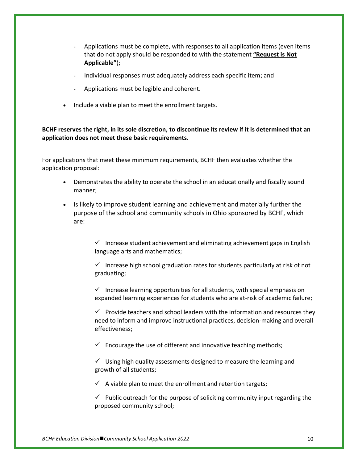- Applications must be complete, with responses to all application items (even items that do not apply should be responded to with the statement **"Request is Not Applicable"**);
- Individual responses must adequately address each specific item; and
- Applications must be legible and coherent.
- Include a viable plan to meet the enrollment targets.

**BCHF reserves the right, in its sole discretion, to discontinue its review if it is determined that an application does not meet these basic requirements.** 

For applications that meet these minimum requirements, BCHF then evaluates whether the application proposal:

- Demonstrates the ability to operate the school in an educationally and fiscally sound manner;
- Is likely to improve student learning and achievement and materially further the purpose of the school and community schools in Ohio sponsored by BCHF, which are:

 $\checkmark$  Increase student achievement and eliminating achievement gaps in English language arts and mathematics;

 $\checkmark$  Increase high school graduation rates for students particularly at risk of not graduating;

 $\checkmark$  Increase learning opportunities for all students, with special emphasis on expanded learning experiences for students who are at-risk of academic failure;

 $\checkmark$  Provide teachers and school leaders with the information and resources they need to inform and improve instructional practices, decision-making and overall effectiveness;

 $\checkmark$  Encourage the use of different and innovative teaching methods;

 $\checkmark$  Using high quality assessments designed to measure the learning and growth of all students;

 $\checkmark$  A viable plan to meet the enrollment and retention targets;

 $\checkmark$  Public outreach for the purpose of soliciting community input regarding the proposed community school;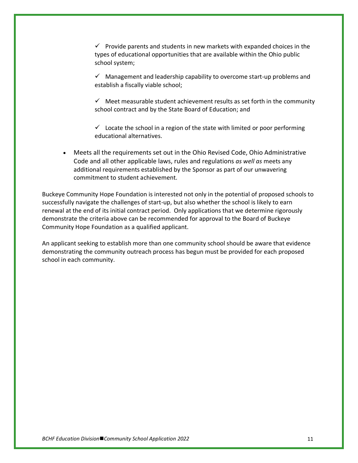$\checkmark$  Provide parents and students in new markets with expanded choices in the types of educational opportunities that are available within the Ohio public school system;

 $\checkmark$  Management and leadership capability to overcome start-up problems and establish a fiscally viable school;

 $\checkmark$  Meet measurable student achievement results as set forth in the community school contract and by the State Board of Education; and

 $\checkmark$  Locate the school in a region of the state with limited or poor performing educational alternatives.

• Meets all the requirements set out in the Ohio Revised Code, Ohio Administrative Code and all other applicable laws, rules and regulations *as well as* meets any additional requirements established by the Sponsor as part of our unwavering commitment to student achievement.

Buckeye Community Hope Foundation is interested not only in the potential of proposed schools to successfully navigate the challenges of start-up, but also whether the school is likely to earn renewal at the end of its initial contract period. Only applications that we determine rigorously demonstrate the criteria above can be recommended for approval to the Board of Buckeye Community Hope Foundation as a qualified applicant.

An applicant seeking to establish more than one community school should be aware that evidence demonstrating the community outreach process has begun must be provided for each proposed school in each community.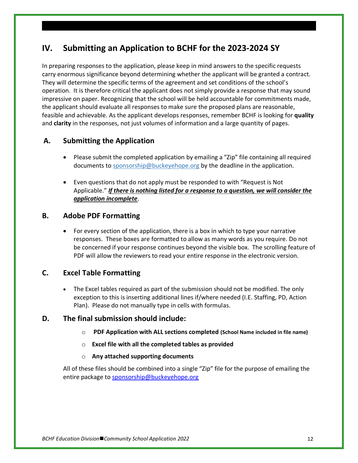# **IV. Submitting an Application to BCHF for the 2023-2024 SY**

In preparing responses to the application, please keep in mind answers to the specific requests carry enormous significance beyond determining whether the applicant will be granted a contract. They will determine the specific terms of the agreement and set conditions of the school's operation. It is therefore critical the applicant does not simply provide a response that may sound impressive on paper. Recognizing that the school will be held accountable for commitments made, the applicant should evaluate all responses to make sure the proposed plans are reasonable, feasible and achievable. As the applicant develops responses, remember BCHF is looking for **quality** and **clarity** in the responses, not just volumes of information and a large quantity of pages.

# **A. Submitting the Application**

- Please submit the completed application by emailing a "Zip" file containing all required documents to [sponsorship@buckeyehope.org](mailto:sponsorship@buckeyehope.org) by the deadline in the application.
- Even questions that do not apply must be responded to with "Request is Not Applicable." *If there is nothing listed for a response to a question, we will consider the application incomplete*.

### **B. Adobe PDF Formatting**

• For every section of the application, there is a box in which to type your narrative responses. These boxes are formatted to allow as many words as you require. Do not be concerned if your response continues beyond the visible box. The scrolling feature of PDF will allow the reviewers to read your entire response in the electronic version.

# **C. Excel Table Formatting**

• The Excel tables required as part of the submission should not be modified. The only exception to this is inserting additional lines if/where needed (I.E. Staffing, PD, Action Plan). Please do not manually type in cells with formulas.

### **D. The final submission should include:**

- o **PDF Application with ALL sections completed (School Name included in file name)**
- o **Excel file with all the completed tables as provided**
- o **Any attached supporting documents**

All of these files should be combined into a single "Zip" file for the purpose of emailing the entire package to [sponsorship@buckeyehope.org](mailto:sponsorship@buckeyehope.org)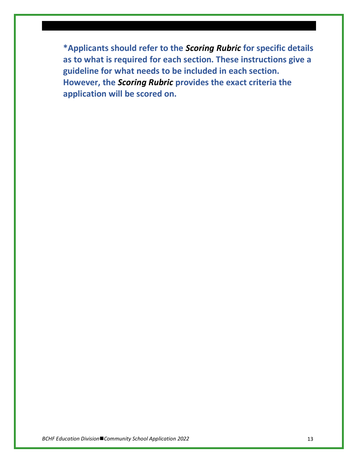**\*Applicants should refer to the** *Scoring Rubric* **for specific details as to what is required for each section. These instructions give a guideline for what needs to be included in each section. However, the** *Scoring Rubric* **provides the exact criteria the application will be scored on.**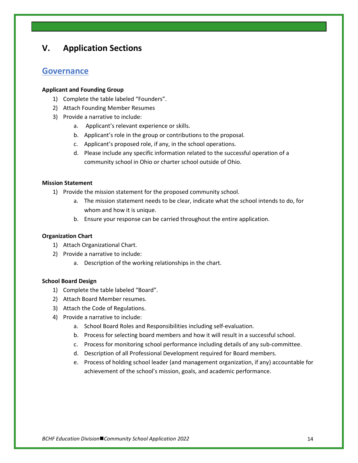# **V. Application Sections**

### **Governance**

### **Applicant and Founding Group**

- 1) Complete the table labeled "Founders".
- 2) Attach Founding Member Resumes
- 3) Provide a narrative to include:
	- a. Applicant's relevant experience or skills.
	- b. Applicant's role in the group or contributions to the proposal.
	- c. Applicant's proposed role, if any, in the school operations.
	- d. Please include any specific information related to the successful operation of a community school in Ohio or charter school outside of Ohio.

#### **Mission Statement**

- 1) Provide the mission statement for the proposed community school.
	- a. The mission statement needs to be clear, indicate what the school intends to do, for whom and how it is unique.
	- b. Ensure your response can be carried throughout the entire application.

#### **Organization Chart**

- 1) Attach Organizational Chart.
- 2) Provide a narrative to include:
	- a. Description of the working relationships in the chart.

#### **School Board Design**

- 1) Complete the table labeled "Board".
- 2) Attach Board Member resumes.
- 3) Attach the Code of Regulations.
- 4) Provide a narrative to include:
	- a. School Board Roles and Responsibilities including self-evaluation.
	- b. Process for selecting board members and how it will result in a successful school.
	- c. Process for monitoring school performance including details of any sub-committee.
	- d. Description of all Professional Development required for Board members.
	- e. Process of holding school leader (and management organization, if any) accountable for achievement of the school's mission, goals, and academic performance.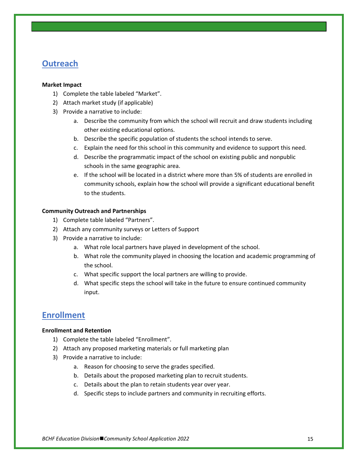# **Outreach**

### **Market Impact**

- 1) Complete the table labeled "Market".
- 2) Attach market study (if applicable)
- 3) Provide a narrative to include:
	- a. Describe the community from which the school will recruit and draw students including other existing educational options.
	- b. Describe the specific population of students the school intends to serve.
	- c. Explain the need for this school in this community and evidence to support this need.
	- d. Describe the programmatic impact of the school on existing public and nonpublic schools in the same geographic area.
	- e. If the school will be located in a district where more than 5% of students are enrolled in community schools, explain how the school will provide a significant educational benefit to the students.

### **Community Outreach and Partnerships**

- 1) Complete table labeled "Partners".
- 2) Attach any community surveys or Letters of Support
- 3) Provide a narrative to include:
	- a. What role local partners have played in development of the school.
	- b. What role the community played in choosing the location and academic programming of the school.
	- c. What specific support the local partners are willing to provide.
	- d. What specific steps the school will take in the future to ensure continued community input.

# **Enrollment**

### **Enrollment and Retention**

- 1) Complete the table labeled "Enrollment".
- 2) Attach any proposed marketing materials or full marketing plan
- 3) Provide a narrative to include:
	- a. Reason for choosing to serve the grades specified.
	- b. Details about the proposed marketing plan to recruit students.
	- c. Details about the plan to retain students year over year.
	- d. Specific steps to include partners and community in recruiting efforts.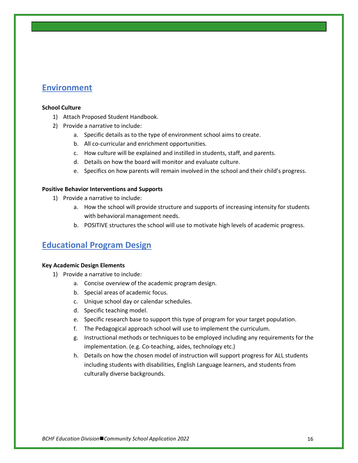# **Environment**

### **School Culture**

- 1) Attach Proposed Student Handbook.
- 2) Provide a narrative to include:
	- a. Specific details as to the type of environment school aims to create.
	- b. All co-curricular and enrichment opportunities.
	- c. How culture will be explained and instilled in students, staff, and parents.
	- d. Details on how the board will monitor and evaluate culture.
	- e. Specifics on how parents will remain involved in the school and their child's progress.

### **Positive Behavior Interventions and Supports**

- 1) Provide a narrative to include:
	- a. How the school will provide structure and supports of increasing intensity for students with behavioral management needs.
	- b. POSITIVE structures the school will use to motivate high levels of academic progress.

# **Educational Program Design**

#### **Key Academic Design Elements**

- 1) Provide a narrative to include:
	- a. Concise overview of the academic program design.
	- b. Special areas of academic focus.
	- c. Unique school day or calendar schedules.
	- d. Specific teaching model.
	- e. Specific research base to support this type of program for your target population.
	- f. The Pedagogical approach school will use to implement the curriculum.
	- g. Instructional methods or techniques to be employed including any requirements for the implementation. (e.g. Co-teaching, aides, technology etc.)
	- h. Details on how the chosen model of instruction will support progress for ALL students including students with disabilities, English Language learners, and students from culturally diverse backgrounds.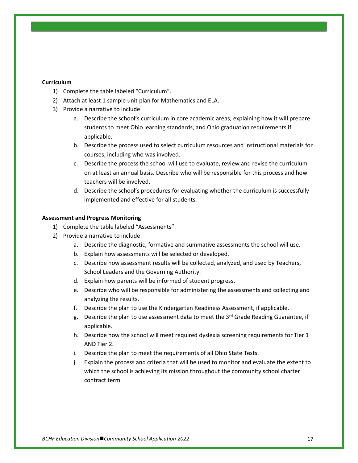### **Curriculum**

- 1) Complete the table labeled "Curriculum".
- 2) Attach at least 1 sample unit plan for Mathematics and ELA.
- 3) Provide a narrative to include:
	- a. Describe the school's curriculum in core academic areas, explaining how it will prepare students to meet Ohio learning standards, and Ohio graduation requirements if applicable.
	- b. Describe the process used to select curriculum resources and instructional materials for courses, including who was involved.
	- c. Describe the process the school will use to evaluate, review and revise the curriculum on at least an annual basis. Describe who will be responsible for this process and how teachers will be involved.
	- d. Describe the school's procedures for evaluating whether the curriculum is successfully implemented and effective for all students.

#### **Assessment and Progress Monitoring**

- 1) Complete the table labeled "Assessments".
- 2) Provide a narrative to include:
	- a. Describe the diagnostic, formative and summative assessments the school will use.
	- b. Explain how assessments will be selected or developed.
	- c. Describe how assessment results will be collected, analyzed, and used by Teachers, School Leaders and the Governing Authority.
	- d. Explain how parents will be informed of student progress.
	- e. Describe who will be responsible for administering the assessments and collecting and analyzing the results.
	- f. Describe the plan to use the Kindergarten Readiness Assessment, if applicable.
	- g. Describe the plan to use assessment data to meet the  $3<sup>rd</sup>$  Grade Reading Guarantee, if applicable.
	- h. Describe how the school will meet required dyslexia screening requirements for Tier 1 AND Tier 2.
	- i. Describe the plan to meet the requirements of all Ohio State Tests.
	- j. Explain the process and criteria that will be used to monitor and evaluate the extent to which the school is achieving its mission throughout the community school charter contract term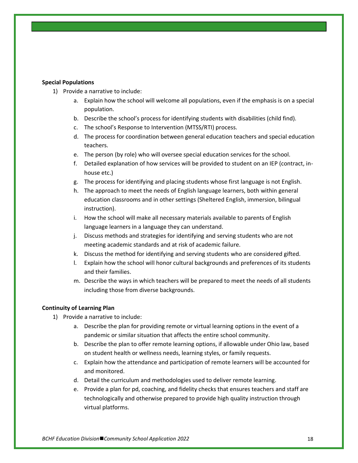### **Special Populations**

- 1) Provide a narrative to include:
	- a. Explain how the school will welcome all populations, even if the emphasis is on a special population.
	- b. Describe the school's process for identifying students with disabilities (child find).
	- c. The school's Response to Intervention (MTSS/RTI) process.
	- d. The process for coordination between general education teachers and special education teachers.
	- e. The person (by role) who will oversee special education services for the school.
	- f. Detailed explanation of how services will be provided to student on an IEP (contract, inhouse etc.)
	- g. The process for identifying and placing students whose first language is not English.
	- h. The approach to meet the needs of English language learners, both within general education classrooms and in other settings (Sheltered English, immersion, bilingual instruction).
	- i. How the school will make all necessary materials available to parents of English language learners in a language they can understand.
	- j. Discuss methods and strategies for identifying and serving students who are not meeting academic standards and at risk of academic failure.
	- k. Discuss the method for identifying and serving students who are considered gifted.
	- l. Explain how the school will honor cultural backgrounds and preferences of its students and their families.
	- m. Describe the ways in which teachers will be prepared to meet the needs of all students including those from diverse backgrounds.

### **Continuity of Learning Plan**

- 1) Provide a narrative to include:
	- a. Describe the plan for providing remote or virtual learning options in the event of a pandemic or similar situation that affects the entire school community.
	- b. Describe the plan to offer remote learning options, if allowable under Ohio law, based on student health or wellness needs, learning styles, or family requests.
	- c. Explain how the attendance and participation of remote learners will be accounted for and monitored.
	- d. Detail the curriculum and methodologies used to deliver remote learning.
	- e. Provide a plan for pd, coaching, and fidelity checks that ensures teachers and staff are technologically and otherwise prepared to provide high quality instruction through virtual platforms.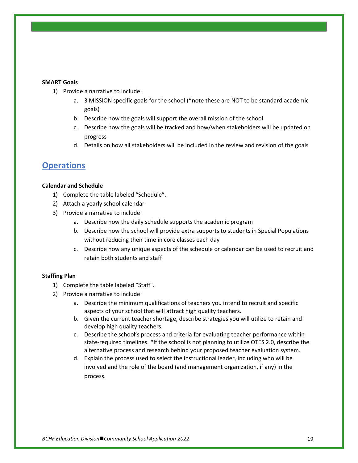#### **SMART Goals**

- 1) Provide a narrative to include:
	- a. 3 MISSION specific goals for the school (\*note these are NOT to be standard academic goals)
	- b. Describe how the goals will support the overall mission of the school
	- c. Describe how the goals will be tracked and how/when stakeholders will be updated on progress
	- d. Details on how all stakeholders will be included in the review and revision of the goals

### **Operations**

#### **Calendar and Schedule**

- 1) Complete the table labeled "Schedule".
- 2) Attach a yearly school calendar
- 3) Provide a narrative to include:
	- a. Describe how the daily schedule supports the academic program
	- b. Describe how the school will provide extra supports to students in Special Populations without reducing their time in core classes each day
	- c. Describe how any unique aspects of the schedule or calendar can be used to recruit and retain both students and staff

### **Staffing Plan**

- 1) Complete the table labeled "Staff".
- 2) Provide a narrative to include:
	- a. Describe the minimum qualifications of teachers you intend to recruit and specific aspects of your school that will attract high quality teachers.
	- b. Given the current teacher shortage, describe strategies you will utilize to retain and develop high quality teachers.
	- c. Describe the school's process and criteria for evaluating teacher performance within state-required timelines. \*If the school is not planning to utilize OTES 2.0, describe the alternative process and research behind your proposed teacher evaluation system.
	- d. Explain the process used to select the instructional leader, including who will be involved and the role of the board (and management organization, if any) in the process.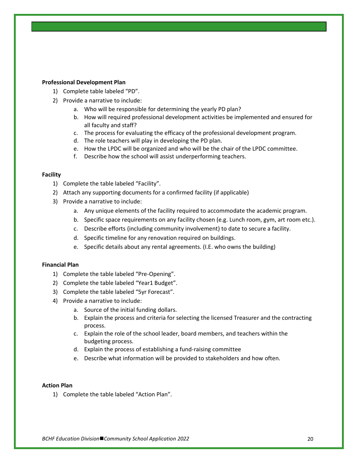#### **Professional Development Plan**

- 1) Complete table labeled "PD".
- 2) Provide a narrative to include:
	- a. Who will be responsible for determining the yearly PD plan?
	- b. How will required professional development activities be implemented and ensured for all faculty and staff?
	- c. The process for evaluating the efficacy of the professional development program.
	- d. The role teachers will play in developing the PD plan.
	- e. How the LPDC will be organized and who will be the chair of the LPDC committee.
	- f. Describe how the school will assist underperforming teachers.

#### **Facility**

- 1) Complete the table labeled "Facility".
- 2) Attach any supporting documents for a confirmed facility (if applicable)
- 3) Provide a narrative to include:
	- a. Any unique elements of the facility required to accommodate the academic program.
	- b. Specific space requirements on any facility chosen (e.g. Lunch room, gym, art room etc.).
	- c. Describe efforts (including community involvement) to date to secure a facility.
	- d. Specific timeline for any renovation required on buildings.
	- e. Specific details about any rental agreements. (I.E. who owns the building)

### **Financial Plan**

- 1) Complete the table labeled "Pre-Opening".
- 2) Complete the table labeled "Year1 Budget".
- 3) Complete the table labeled "5yr Forecast".
- 4) Provide a narrative to include:
	- a. Source of the initial funding dollars.
	- b. Explain the process and criteria for selecting the licensed Treasurer and the contracting process.
	- c. Explain the role of the school leader, board members, and teachers within the budgeting process.
	- d. Explain the process of establishing a fund-raising committee
	- e. Describe what information will be provided to stakeholders and how often.

### **Action Plan**

1) Complete the table labeled "Action Plan".